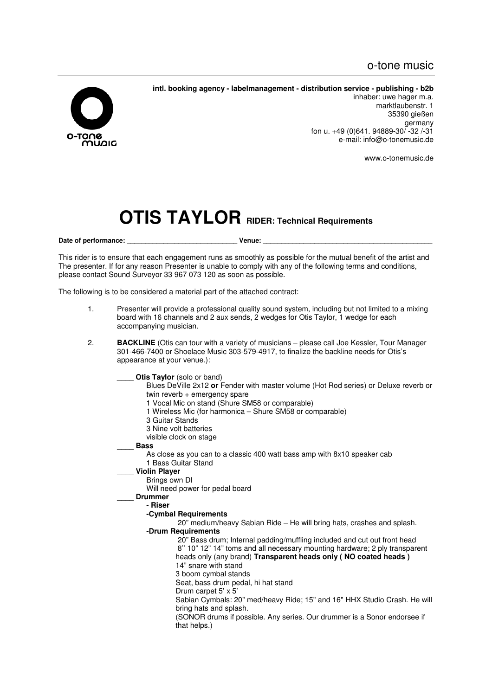

**intl. booking agency - labelmanagement - distribution service - publishing - b2b** 

inhaber: uwe hager m.a. marktlaubenstr. 1 35390 gießen germany fon u. +49 (0)641. 94889-30/ -32 /-31 e-mail: info@o-tonemusic.de

www.o-tonemusic.de

# **OTIS TAYLOR RIDER: Technical Requirements**

Date of performance: **Example 20** Venue:

This rider is to ensure that each engagement runs as smoothly as possible for the mutual benefit of the artist and The presenter. If for any reason Presenter is unable to comply with any of the following terms and conditions, please contact Sound Surveyor 33 967 073 120 as soon as possible.

The following is to be considered a material part of the attached contract:

- 1. Presenter will provide a professional quality sound system, including but not limited to a mixing board with 16 channels and 2 aux sends, 2 wedges for Otis Taylor, 1 wedge for each accompanying musician.
- 2. **BACKLINE** (Otis can tour with a variety of musicians please call Joe Kessler, Tour Manager 301-466-7400 or Shoelace Music 303-579-4917, to finalize the backline needs for Otis's appearance at your venue.):

**Otis Taylor** (solo or band)

- Blues DeVille 2x12 **or** Fender with master volume (Hot Rod series) or Deluxe reverb or twin reverb + emergency spare
- 1 Vocal Mic on stand (Shure SM58 or comparable)
- 1 Wireless Mic (for harmonica Shure SM58 or comparable)
- 3 Guitar Stands
- 3 Nine volt batteries
- visible clock on stage
- \_\_\_\_ **Bass**

As close as you can to a classic 400 watt bass amp with 8x10 speaker cab 1 Bass Guitar Stand

# \_\_\_\_ **Violin Player**

Brings own DI

Will need power for pedal board

\_\_\_\_ **Drummer** 

**- Riser** 

- **-Cymbal Requirements**
- 20" medium/heavy Sabian Ride He will bring hats, crashes and splash. **-Drum Requirements**

 20" Bass drum; Internal padding/muffling included and cut out front head 8'' 10" 12" 14" toms and all necessary mounting hardware; 2 ply transparent heads only (any brand) **Transparent heads only ( NO coated heads )** 14" snare with stand

3 boom cymbal stands

Seat, bass drum pedal, hi hat stand

Drum carpet 5' x 5'

Sabian Cymbals: 20" med/heavy Ride; 15" and 16" HHX Studio Crash. He will bring hats and splash.

(SONOR drums if possible. Any series. Our drummer is a Sonor endorsee if that helps.)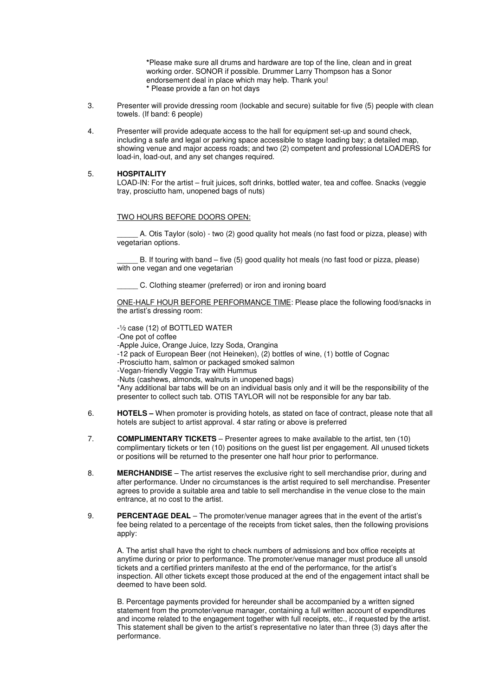**\***Please make sure all drums and hardware are top of the line, clean and in great working order. SONOR if possible. Drummer Larry Thompson has a Sonor endorsement deal in place which may help. Thank you! **\*** Please provide a fan on hot days

- 3. Presenter will provide dressing room (lockable and secure) suitable for five (5) people with clean towels. (If band: 6 people)
- 4. Presenter will provide adequate access to the hall for equipment set-up and sound check, including a safe and legal or parking space accessible to stage loading bay; a detailed map, showing venue and major access roads; and two (2) competent and professional LOADERS for load-in, load-out, and any set changes required.

#### 5. **HOSPITALITY**

LOAD-IN: For the artist – fruit juices, soft drinks, bottled water, tea and coffee. Snacks (veggie tray, prosciutto ham, unopened bags of nuts)

### TWO HOURS BEFORE DOORS OPEN:

\_\_\_\_\_ A. Otis Taylor (solo) - two (2) good quality hot meals (no fast food or pizza, please) with vegetarian options.

B. If touring with band – five (5) good quality hot meals (no fast food or pizza, please) with one vegan and one vegetarian

C. Clothing steamer (preferred) or iron and ironing board

ONE-HALF HOUR BEFORE PERFORMANCE TIME: Please place the following food/snacks in the artist's dressing room:

-½ case (12) of BOTTLED WATER

-One pot of coffee

-Apple Juice, Orange Juice, Izzy Soda, Orangina

- -12 pack of European Beer (not Heineken), (2) bottles of wine, (1) bottle of Cognac
- -Prosciutto ham, salmon or packaged smoked salmon
- -Vegan-friendly Veggie Tray with Hummus
- -Nuts (cashews, almonds, walnuts in unopened bags)

\*Any additional bar tabs will be on an individual basis only and it will be the responsibility of the presenter to collect such tab. OTIS TAYLOR will not be responsible for any bar tab.

- 6. **HOTELS** When promoter is providing hotels, as stated on face of contract, please note that all hotels are subject to artist approval. 4 star rating or above is preferred
- 7. **COMPLIMENTARY TICKETS**  Presenter agrees to make available to the artist, ten (10) complimentary tickets or ten (10) positions on the guest list per engagement. All unused tickets or positions will be returned to the presenter one half hour prior to performance.
- 8. **MERCHANDISE**  The artist reserves the exclusive right to sell merchandise prior, during and after performance. Under no circumstances is the artist required to sell merchandise. Presenter agrees to provide a suitable area and table to sell merchandise in the venue close to the main entrance, at no cost to the artist.
- 9. **PERCENTAGE DEAL**  The promoter/venue manager agrees that in the event of the artist's fee being related to a percentage of the receipts from ticket sales, then the following provisions apply:

A. The artist shall have the right to check numbers of admissions and box office receipts at anytime during or prior to performance. The promoter/venue manager must produce all unsold tickets and a certified printers manifesto at the end of the performance, for the artist's inspection. All other tickets except those produced at the end of the engagement intact shall be deemed to have been sold.

B. Percentage payments provided for hereunder shall be accompanied by a written signed statement from the promoter/venue manager, containing a full written account of expenditures and income related to the engagement together with full receipts, etc., if requested by the artist. This statement shall be given to the artist's representative no later than three (3) days after the performance.